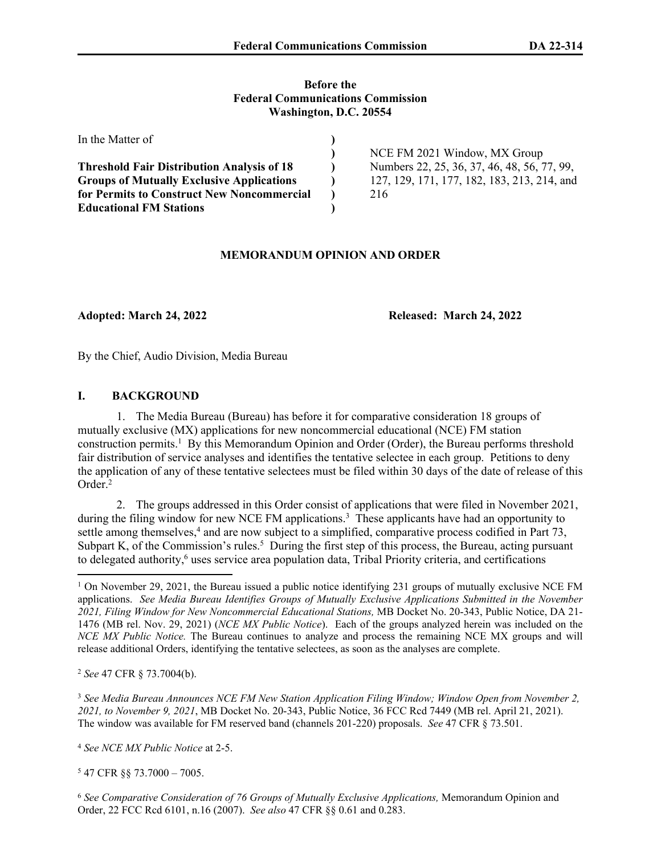#### **Before the Federal Communications Commission Washington, D.C. 20554**

| In the Matter of                                  |                                             |
|---------------------------------------------------|---------------------------------------------|
|                                                   | NCE FM 2021 Window, MX Group                |
| <b>Threshold Fair Distribution Analysis of 18</b> | Numbers 22, 25, 36, 37, 46, 48, 56, 77, 99, |
| <b>Groups of Mutually Exclusive Applications</b>  | 127, 129, 171, 177, 182, 183, 213, 214, and |
| for Permits to Construct New Noncommercial        | 216                                         |
| <b>Educational FM Stations</b>                    |                                             |

### **MEMORANDUM OPINION AND ORDER**

**Adopted: March 24, 2022 Released: March 24, 2022**

By the Chief, Audio Division, Media Bureau

### **I. BACKGROUND**

1. The Media Bureau (Bureau) has before it for comparative consideration 18 groups of mutually exclusive (MX) applications for new noncommercial educational (NCE) FM station construction permits.<sup>1</sup> By this Memorandum Opinion and Order (Order), the Bureau performs threshold fair distribution of service analyses and identifies the tentative selectee in each group. Petitions to deny the application of any of these tentative selectees must be filed within 30 days of the date of release of this Order<sup>2</sup>

2. The groups addressed in this Order consist of applications that were filed in November 2021, during the filing window for new NCE FM applications.<sup>3</sup> These applicants have had an opportunity to settle among themselves,<sup>4</sup> and are now subject to a simplified, comparative process codified in Part 73, Subpart K, of the Commission's rules.<sup>5</sup> During the first step of this process, the Bureau, acting pursuant to delegated authority,<sup>6</sup> uses service area population data, Tribal Priority criteria, and certifications

<sup>2</sup> *See* 47 CFR § 73.7004(b).

<sup>3</sup> *See Media Bureau Announces NCE FM New Station Application Filing Window; Window Open from November 2, 2021, to November 9, 2021*, MB Docket No. 20-343, Public Notice, 36 FCC Rcd 7449 (MB rel. April 21, 2021). The window was available for FM reserved band (channels 201-220) proposals. *See* 47 CFR § 73.501.

<sup>4</sup> *See NCE MX Public Notice* at 2-5.

5 47 CFR §§ 73.7000 – 7005.

<sup>6</sup> *See Comparative Consideration of 76 Groups of Mutually Exclusive Applications,* Memorandum Opinion and Order, 22 FCC Rcd 6101, n.16 (2007). *See also* 47 CFR §§ 0.61 and 0.283.

<sup>&</sup>lt;sup>1</sup> On November 29, 2021, the Bureau issued a public notice identifying 231 groups of mutually exclusive NCE FM applications. *See Media Bureau Identifies Groups of Mutually Exclusive Applications Submitted in the November 2021, Filing Window for New Noncommercial Educational Stations,* MB Docket No. 20-343, Public Notice, DA 21- 1476 (MB rel. Nov. 29, 2021) (*NCE MX Public Notice*). Each of the groups analyzed herein was included on the *NCE MX Public Notice.* The Bureau continues to analyze and process the remaining NCE MX groups and will release additional Orders, identifying the tentative selectees, as soon as the analyses are complete.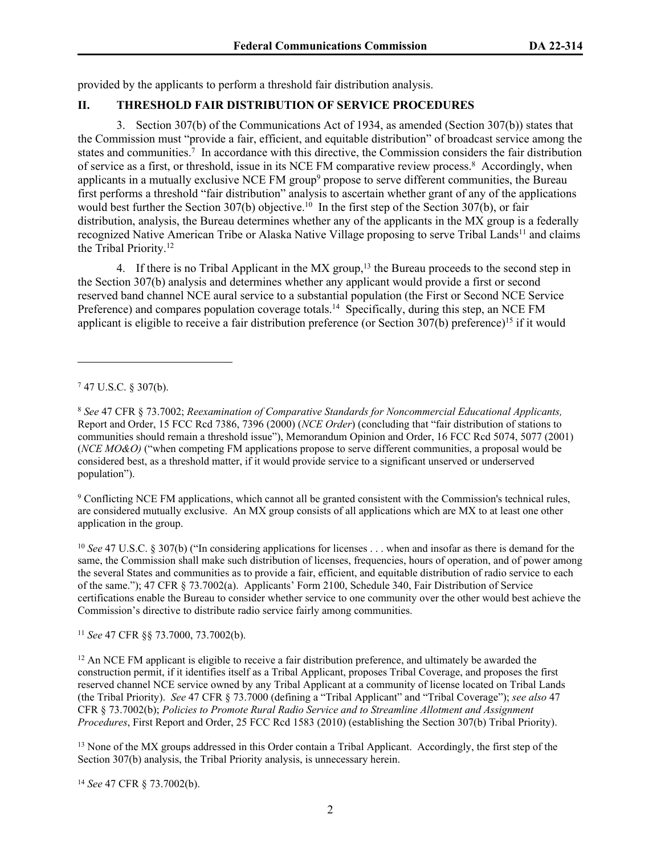provided by the applicants to perform a threshold fair distribution analysis.

# **II. THRESHOLD FAIR DISTRIBUTION OF SERVICE PROCEDURES**

3. Section 307(b) of the Communications Act of 1934, as amended (Section 307(b)) states that the Commission must "provide a fair, efficient, and equitable distribution" of broadcast service among the states and communities.<sup>7</sup> In accordance with this directive, the Commission considers the fair distribution of service as a first, or threshold, issue in its NCE FM comparative review process.<sup>8</sup> Accordingly, when applicants in a mutually exclusive NCE FM group<sup>9</sup> propose to serve different communities, the Bureau first performs a threshold "fair distribution" analysis to ascertain whether grant of any of the applications would best further the Section 307(b) objective.<sup>10</sup> In the first step of the Section 307(b), or fair distribution, analysis, the Bureau determines whether any of the applicants in the MX group is a federally recognized Native American Tribe or Alaska Native Village proposing to serve Tribal Lands<sup>11</sup> and claims the Tribal Priority.<sup>12</sup>

4. If there is no Tribal Applicant in the  $MX$  group,<sup>13</sup> the Bureau proceeds to the second step in the Section 307(b) analysis and determines whether any applicant would provide a first or second reserved band channel NCE aural service to a substantial population (the First or Second NCE Service Preference) and compares population coverage totals.<sup>14</sup> Specifically, during this step, an NCE FM applicant is eligible to receive a fair distribution preference (or Section 307(b) preference)<sup>15</sup> if it would

<sup>7</sup> 47 U.S.C. § 307(b).

<sup>8</sup> *See* 47 CFR § 73.7002; *Reexamination of Comparative Standards for Noncommercial Educational Applicants,*  Report and Order, 15 FCC Rcd 7386, 7396 (2000) (*NCE Order*) (concluding that "fair distribution of stations to communities should remain a threshold issue"), Memorandum Opinion and Order, 16 FCC Rcd 5074, 5077 (2001) (*NCE MO&O)* ("when competing FM applications propose to serve different communities, a proposal would be considered best, as a threshold matter, if it would provide service to a significant unserved or underserved population").

<sup>9</sup> Conflicting NCE FM applications, which cannot all be granted consistent with the Commission's technical rules, are considered mutually exclusive. An MX group consists of all applications which are MX to at least one other application in the group.

<sup>10</sup> *See* 47 U.S.C. § 307(b) ("In considering applications for licenses . . . when and insofar as there is demand for the same, the Commission shall make such distribution of licenses, frequencies, hours of operation, and of power among the several States and communities as to provide a fair, efficient, and equitable distribution of radio service to each of the same."); 47 CFR § 73.7002(a). Applicants' Form 2100, Schedule 340, Fair Distribution of Service certifications enable the Bureau to consider whether service to one community over the other would best achieve the Commission's directive to distribute radio service fairly among communities.

<sup>11</sup> *See* 47 CFR §§ 73.7000, 73.7002(b).

<sup>12</sup> An NCE FM applicant is eligible to receive a fair distribution preference, and ultimately be awarded the construction permit, if it identifies itself as a Tribal Applicant, proposes Tribal Coverage, and proposes the first reserved channel NCE service owned by any Tribal Applicant at a community of license located on Tribal Lands (the Tribal Priority). *See* 47 CFR § 73.7000 (defining a "Tribal Applicant" and "Tribal Coverage"); *see also* 47 CFR § 73.7002(b); *Policies to Promote Rural Radio Service and to Streamline Allotment and Assignment Procedures*, First Report and Order, 25 FCC Rcd 1583 (2010) (establishing the Section 307(b) Tribal Priority).

<sup>13</sup> None of the MX groups addressed in this Order contain a Tribal Applicant. Accordingly, the first step of the Section 307(b) analysis, the Tribal Priority analysis, is unnecessary herein.

<sup>14</sup> *See* 47 CFR § 73.7002(b).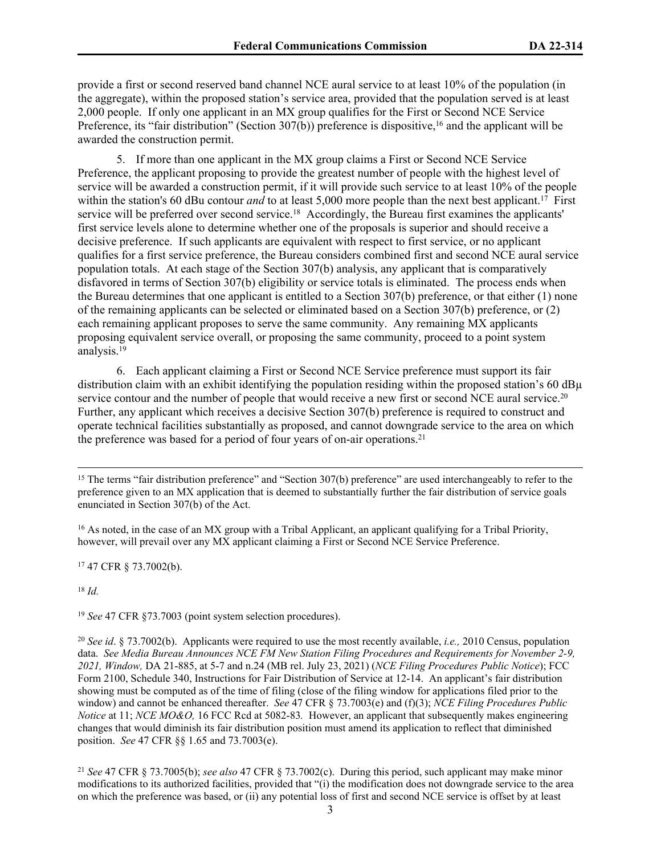provide a first or second reserved band channel NCE aural service to at least 10% of the population (in the aggregate), within the proposed station's service area, provided that the population served is at least 2,000 people. If only one applicant in an MX group qualifies for the First or Second NCE Service Preference, its "fair distribution" (Section 307(b)) preference is dispositive,<sup>16</sup> and the applicant will be awarded the construction permit.

5. If more than one applicant in the MX group claims a First or Second NCE Service Preference, the applicant proposing to provide the greatest number of people with the highest level of service will be awarded a construction permit, if it will provide such service to at least 10% of the people within the station's 60 dBu contour *and* to at least 5,000 more people than the next best applicant.<sup>17</sup> First service will be preferred over second service.<sup>18</sup> Accordingly, the Bureau first examines the applicants' first service levels alone to determine whether one of the proposals is superior and should receive a decisive preference. If such applicants are equivalent with respect to first service, or no applicant qualifies for a first service preference, the Bureau considers combined first and second NCE aural service population totals. At each stage of the Section 307(b) analysis, any applicant that is comparatively disfavored in terms of Section 307(b) eligibility or service totals is eliminated. The process ends when the Bureau determines that one applicant is entitled to a Section 307(b) preference, or that either (1) none of the remaining applicants can be selected or eliminated based on a Section 307(b) preference, or (2) each remaining applicant proposes to serve the same community. Any remaining MX applicants proposing equivalent service overall, or proposing the same community, proceed to a point system analysis.<sup>19</sup>

6. Each applicant claiming a First or Second NCE Service preference must support its fair distribution claim with an exhibit identifying the population residing within the proposed station's 60  $dB\mu$ service contour and the number of people that would receive a new first or second NCE aural service.<sup>20</sup> Further, any applicant which receives a decisive Section 307(b) preference is required to construct and operate technical facilities substantially as proposed, and cannot downgrade service to the area on which the preference was based for a period of four years of on-air operations.<sup>21</sup>

<sup>15</sup> The terms "fair distribution preference" and "Section 307(b) preference" are used interchangeably to refer to the preference given to an MX application that is deemed to substantially further the fair distribution of service goals enunciated in Section 307(b) of the Act.

<sup>16</sup> As noted, in the case of an MX group with a Tribal Applicant, an applicant qualifying for a Tribal Priority, however, will prevail over any MX applicant claiming a First or Second NCE Service Preference.

<sup>17</sup> 47 CFR § 73.7002(b).

<sup>18</sup> *Id.*

<sup>19</sup> *See* 47 CFR §73.7003 (point system selection procedures).

<sup>20</sup> *See id*. § 73.7002(b). Applicants were required to use the most recently available, *i.e.,* 2010 Census, population data. *See Media Bureau Announces NCE FM New Station Filing Procedures and Requirements for November 2-9, 2021, Window,* DA 21-885, at 5-7 and n.24 (MB rel. July 23, 2021) (*NCE Filing Procedures Public Notice*); FCC Form 2100, Schedule 340, Instructions for Fair Distribution of Service at 12-14. An applicant's fair distribution showing must be computed as of the time of filing (close of the filing window for applications filed prior to the window) and cannot be enhanced thereafter. *See* 47 CFR § 73.7003(e) and (f)(3); *NCE Filing Procedures Public Notice* at 11; *NCE MO&O,* 16 FCC Rcd at 5082-83*.* However, an applicant that subsequently makes engineering changes that would diminish its fair distribution position must amend its application to reflect that diminished position. *See* 47 CFR §§ 1.65 and 73.7003(e).

<sup>21</sup> *See* 47 CFR § 73.7005(b); *see also* 47 CFR § 73.7002(c). During this period, such applicant may make minor modifications to its authorized facilities, provided that "(i) the modification does not downgrade service to the area on which the preference was based, or (ii) any potential loss of first and second NCE service is offset by at least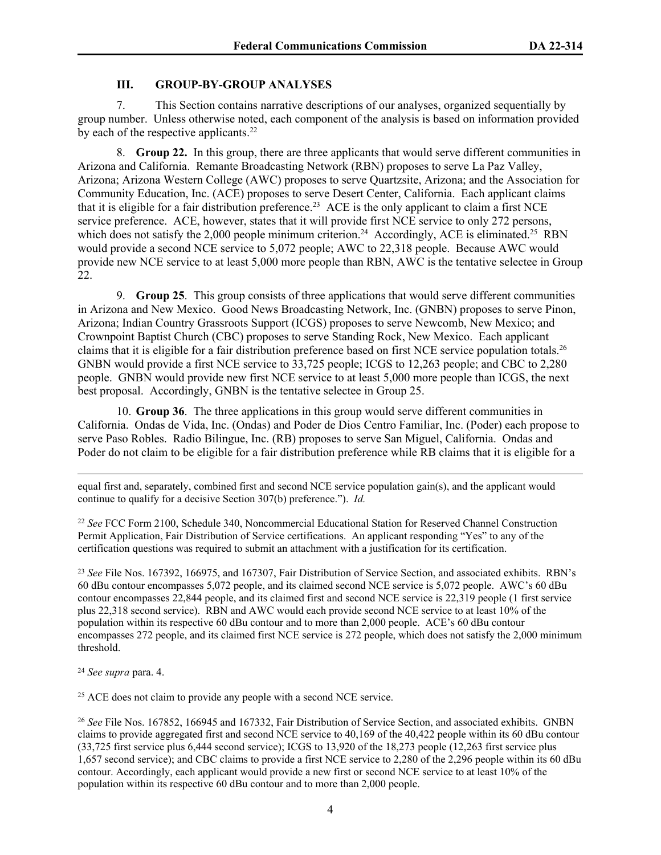#### **III. GROUP-BY-GROUP ANALYSES**

7. This Section contains narrative descriptions of our analyses, organized sequentially by group number. Unless otherwise noted, each component of the analysis is based on information provided by each of the respective applicants.<sup>22</sup>

8. **Group 22.** In this group, there are three applicants that would serve different communities in Arizona and California. Remante Broadcasting Network (RBN) proposes to serve La Paz Valley, Arizona; Arizona Western College (AWC) proposes to serve Quartzsite, Arizona; and the Association for Community Education, Inc. (ACE) proposes to serve Desert Center, California. Each applicant claims that it is eligible for a fair distribution preference.<sup>23</sup> ACE is the only applicant to claim a first NCE service preference. ACE, however, states that it will provide first NCE service to only 272 persons, which does not satisfy the 2,000 people minimum criterion.<sup>24</sup> Accordingly, ACE is eliminated.<sup>25</sup> RBN would provide a second NCE service to 5,072 people; AWC to 22,318 people. Because AWC would provide new NCE service to at least 5,000 more people than RBN, AWC is the tentative selectee in Group 22.

9. **Group 25**. This group consists of three applications that would serve different communities in Arizona and New Mexico. Good News Broadcasting Network, Inc. (GNBN) proposes to serve Pinon, Arizona; Indian Country Grassroots Support (ICGS) proposes to serve Newcomb, New Mexico; and Crownpoint Baptist Church (CBC) proposes to serve Standing Rock, New Mexico. Each applicant claims that it is eligible for a fair distribution preference based on first NCE service population totals.<sup>26</sup> GNBN would provide a first NCE service to 33,725 people; ICGS to 12,263 people; and CBC to 2,280 people. GNBN would provide new first NCE service to at least 5,000 more people than ICGS, the next best proposal. Accordingly, GNBN is the tentative selectee in Group 25.

10. **Group 36**. The three applications in this group would serve different communities in California. Ondas de Vida, Inc. (Ondas) and Poder de Dios Centro Familiar, Inc. (Poder) each propose to serve Paso Robles. Radio Bilingue, Inc. (RB) proposes to serve San Miguel, California. Ondas and Poder do not claim to be eligible for a fair distribution preference while RB claims that it is eligible for a

equal first and, separately, combined first and second NCE service population gain(s), and the applicant would continue to qualify for a decisive Section 307(b) preference."). *Id.*

<sup>22</sup> *See* FCC Form 2100, Schedule 340, Noncommercial Educational Station for Reserved Channel Construction Permit Application, Fair Distribution of Service certifications. An applicant responding "Yes" to any of the certification questions was required to submit an attachment with a justification for its certification.

<sup>23</sup> *See* File Nos. 167392, 166975, and 167307, Fair Distribution of Service Section, and associated exhibits. RBN's 60 dBu contour encompasses 5,072 people, and its claimed second NCE service is 5,072 people. AWC's 60 dBu contour encompasses 22,844 people, and its claimed first and second NCE service is 22,319 people (1 first service plus 22,318 second service). RBN and AWC would each provide second NCE service to at least 10% of the population within its respective 60 dBu contour and to more than 2,000 people. ACE's 60 dBu contour encompasses 272 people, and its claimed first NCE service is 272 people, which does not satisfy the 2,000 minimum threshold.

<sup>24</sup> *See supra* para. 4.

<sup>25</sup> ACE does not claim to provide any people with a second NCE service.

<sup>26</sup> *See* File Nos. 167852, 166945 and 167332, Fair Distribution of Service Section, and associated exhibits. GNBN claims to provide aggregated first and second NCE service to 40,169 of the 40,422 people within its 60 dBu contour (33,725 first service plus 6,444 second service); ICGS to 13,920 of the 18,273 people (12,263 first service plus 1,657 second service); and CBC claims to provide a first NCE service to 2,280 of the 2,296 people within its 60 dBu contour. Accordingly, each applicant would provide a new first or second NCE service to at least 10% of the population within its respective 60 dBu contour and to more than 2,000 people.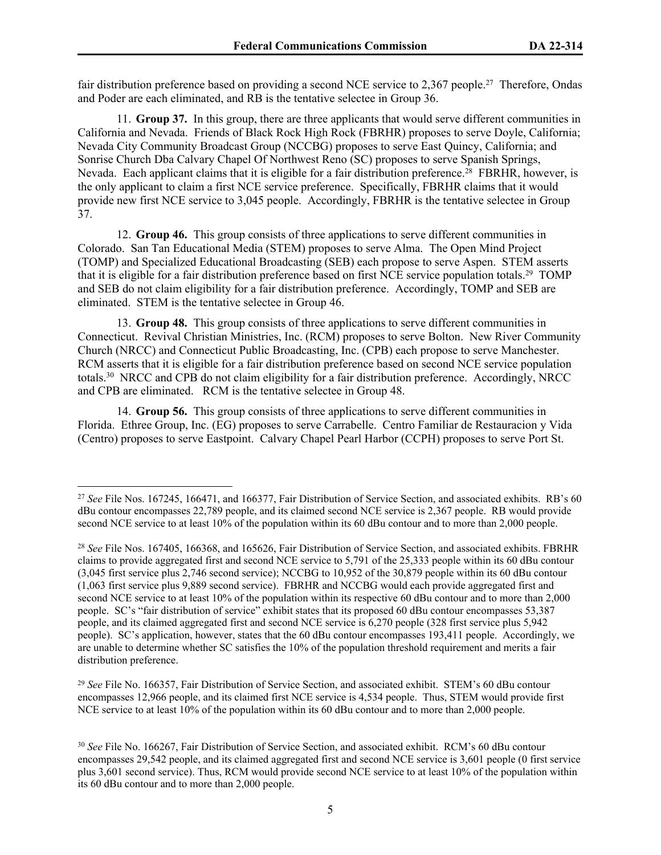fair distribution preference based on providing a second NCE service to 2,367 people.<sup>27</sup> Therefore, Ondas and Poder are each eliminated, and RB is the tentative selectee in Group 36.

11. **Group 37.** In this group, there are three applicants that would serve different communities in California and Nevada. Friends of Black Rock High Rock (FBRHR) proposes to serve Doyle, California; Nevada City Community Broadcast Group (NCCBG) proposes to serve East Quincy, California; and Sonrise Church Dba Calvary Chapel Of Northwest Reno (SC) proposes to serve Spanish Springs, Nevada. Each applicant claims that it is eligible for a fair distribution preference.<sup>28</sup> FBRHR, however, is the only applicant to claim a first NCE service preference. Specifically, FBRHR claims that it would provide new first NCE service to 3,045 people. Accordingly, FBRHR is the tentative selectee in Group 37.

12. **Group 46.** This group consists of three applications to serve different communities in Colorado. San Tan Educational Media (STEM) proposes to serve Alma. The Open Mind Project (TOMP) and Specialized Educational Broadcasting (SEB) each propose to serve Aspen. STEM asserts that it is eligible for a fair distribution preference based on first NCE service population totals.<sup>29</sup> TOMP and SEB do not claim eligibility for a fair distribution preference. Accordingly, TOMP and SEB are eliminated. STEM is the tentative selectee in Group 46.

13. **Group 48.** This group consists of three applications to serve different communities in Connecticut. Revival Christian Ministries, Inc. (RCM) proposes to serve Bolton. New River Community Church (NRCC) and Connecticut Public Broadcasting, Inc. (CPB) each propose to serve Manchester. RCM asserts that it is eligible for a fair distribution preference based on second NCE service population totals.<sup>30</sup> NRCC and CPB do not claim eligibility for a fair distribution preference. Accordingly, NRCC and CPB are eliminated. RCM is the tentative selectee in Group 48.

14. **Group 56.** This group consists of three applications to serve different communities in Florida. Ethree Group, Inc. (EG) proposes to serve Carrabelle. Centro Familiar de Restauracion y Vida (Centro) proposes to serve Eastpoint. Calvary Chapel Pearl Harbor (CCPH) proposes to serve Port St.

<sup>29</sup> *See* File No. 166357, Fair Distribution of Service Section, and associated exhibit. STEM's 60 dBu contour encompasses 12,966 people, and its claimed first NCE service is 4,534 people. Thus, STEM would provide first NCE service to at least 10% of the population within its 60 dBu contour and to more than 2,000 people.

<sup>&</sup>lt;sup>27</sup> See File Nos. 167245, 166471, and 166377, Fair Distribution of Service Section, and associated exhibits. RB's 60 dBu contour encompasses 22,789 people, and its claimed second NCE service is 2,367 people. RB would provide second NCE service to at least 10% of the population within its 60 dBu contour and to more than 2,000 people.

<sup>28</sup> *See* File Nos. 167405, 166368, and 165626, Fair Distribution of Service Section, and associated exhibits. FBRHR claims to provide aggregated first and second NCE service to 5,791 of the 25,333 people within its 60 dBu contour (3,045 first service plus 2,746 second service); NCCBG to 10,952 of the 30,879 people within its 60 dBu contour (1,063 first service plus 9,889 second service). FBRHR and NCCBG would each provide aggregated first and second NCE service to at least 10% of the population within its respective 60 dBu contour and to more than 2,000 people. SC's "fair distribution of service" exhibit states that its proposed 60 dBu contour encompasses 53,387 people, and its claimed aggregated first and second NCE service is 6,270 people (328 first service plus 5,942 people). SC's application, however, states that the 60 dBu contour encompasses 193,411 people. Accordingly, we are unable to determine whether SC satisfies the 10% of the population threshold requirement and merits a fair distribution preference.

<sup>30</sup> *See* File No. 166267, Fair Distribution of Service Section, and associated exhibit. RCM's 60 dBu contour encompasses 29,542 people, and its claimed aggregated first and second NCE service is 3,601 people (0 first service plus 3,601 second service). Thus, RCM would provide second NCE service to at least 10% of the population within its 60 dBu contour and to more than 2,000 people.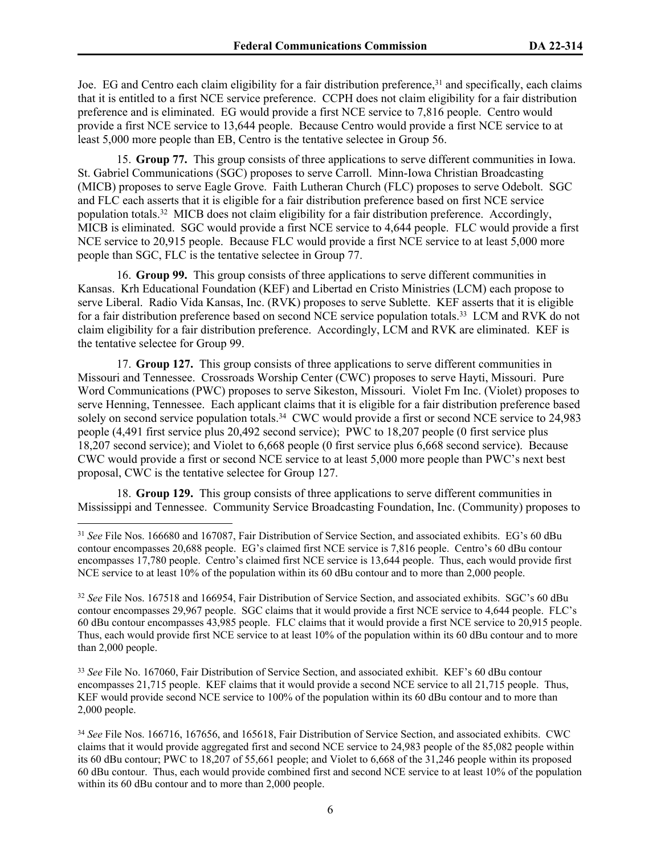Joe. EG and Centro each claim eligibility for a fair distribution preference,<sup>31</sup> and specifically, each claims that it is entitled to a first NCE service preference. CCPH does not claim eligibility for a fair distribution preference and is eliminated. EG would provide a first NCE service to 7,816 people. Centro would provide a first NCE service to 13,644 people. Because Centro would provide a first NCE service to at least 5,000 more people than EB, Centro is the tentative selectee in Group 56.

15. **Group 77.** This group consists of three applications to serve different communities in Iowa. St. Gabriel Communications (SGC) proposes to serve Carroll. Minn-Iowa Christian Broadcasting (MICB) proposes to serve Eagle Grove. Faith Lutheran Church (FLC) proposes to serve Odebolt. SGC and FLC each asserts that it is eligible for a fair distribution preference based on first NCE service population totals.<sup>32</sup> MICB does not claim eligibility for a fair distribution preference. Accordingly, MICB is eliminated. SGC would provide a first NCE service to 4,644 people. FLC would provide a first NCE service to 20,915 people. Because FLC would provide a first NCE service to at least 5,000 more people than SGC, FLC is the tentative selectee in Group 77.

16. **Group 99.** This group consists of three applications to serve different communities in Kansas. Krh Educational Foundation (KEF) and Libertad en Cristo Ministries (LCM) each propose to serve Liberal. Radio Vida Kansas, Inc. (RVK) proposes to serve Sublette. KEF asserts that it is eligible for a fair distribution preference based on second NCE service population totals.<sup>33</sup> LCM and RVK do not claim eligibility for a fair distribution preference. Accordingly, LCM and RVK are eliminated. KEF is the tentative selectee for Group 99.

17. **Group 127.** This group consists of three applications to serve different communities in Missouri and Tennessee. Crossroads Worship Center (CWC) proposes to serve Hayti, Missouri. Pure Word Communications (PWC) proposes to serve Sikeston, Missouri. Violet Fm Inc. (Violet) proposes to serve Henning, Tennessee. Each applicant claims that it is eligible for a fair distribution preference based solely on second service population totals.<sup>34</sup> CWC would provide a first or second NCE service to 24,983 people (4,491 first service plus 20,492 second service); PWC to 18,207 people (0 first service plus 18,207 second service); and Violet to 6,668 people (0 first service plus 6,668 second service). Because CWC would provide a first or second NCE service to at least 5,000 more people than PWC's next best proposal, CWC is the tentative selectee for Group 127.

18. **Group 129.** This group consists of three applications to serve different communities in Mississippi and Tennessee. Community Service Broadcasting Foundation, Inc. (Community) proposes to

<sup>33</sup> *See* File No. 167060, Fair Distribution of Service Section, and associated exhibit. KEF's 60 dBu contour encompasses 21,715 people. KEF claims that it would provide a second NCE service to all 21,715 people. Thus, KEF would provide second NCE service to 100% of the population within its 60 dBu contour and to more than 2,000 people.

<sup>&</sup>lt;sup>31</sup> *See* File Nos. 166680 and 167087, Fair Distribution of Service Section, and associated exhibits. EG's 60 dBu contour encompasses 20,688 people. EG's claimed first NCE service is 7,816 people. Centro's 60 dBu contour encompasses 17,780 people. Centro's claimed first NCE service is 13,644 people. Thus, each would provide first NCE service to at least 10% of the population within its 60 dBu contour and to more than 2,000 people.

<sup>32</sup> *See* File Nos. 167518 and 166954, Fair Distribution of Service Section, and associated exhibits. SGC's 60 dBu contour encompasses 29,967 people. SGC claims that it would provide a first NCE service to 4,644 people. FLC's 60 dBu contour encompasses 43,985 people. FLC claims that it would provide a first NCE service to 20,915 people. Thus, each would provide first NCE service to at least 10% of the population within its 60 dBu contour and to more than 2,000 people.

<sup>34</sup> *See* File Nos. 166716, 167656, and 165618, Fair Distribution of Service Section, and associated exhibits. CWC claims that it would provide aggregated first and second NCE service to 24,983 people of the 85,082 people within its 60 dBu contour; PWC to 18,207 of 55,661 people; and Violet to 6,668 of the 31,246 people within its proposed 60 dBu contour. Thus, each would provide combined first and second NCE service to at least 10% of the population within its 60 dBu contour and to more than 2,000 people.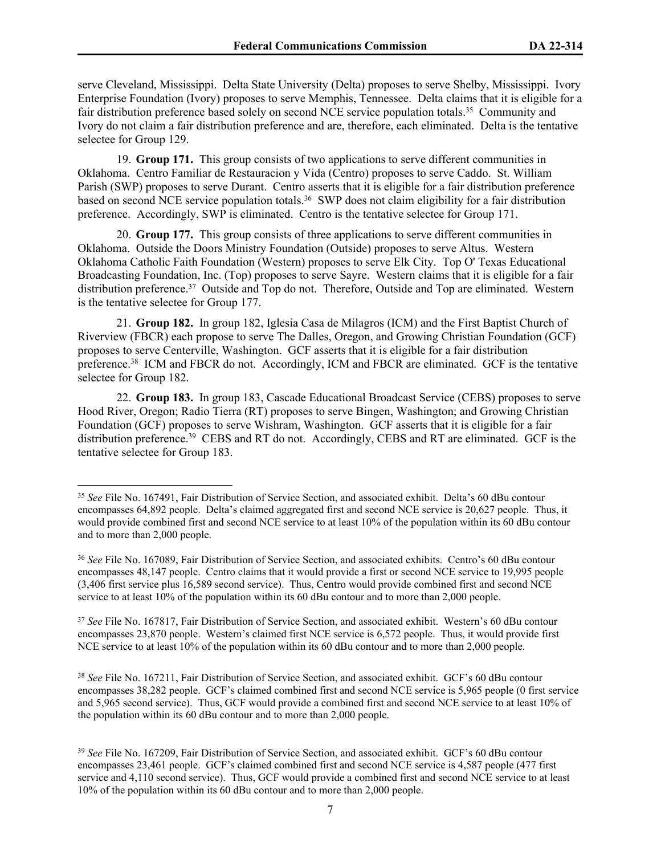serve Cleveland, Mississippi. Delta State University (Delta) proposes to serve Shelby, Mississippi. Ivory Enterprise Foundation (Ivory) proposes to serve Memphis, Tennessee. Delta claims that it is eligible for a fair distribution preference based solely on second NCE service population totals.<sup>35</sup> Community and Ivory do not claim a fair distribution preference and are, therefore, each eliminated. Delta is the tentative selectee for Group 129.

19. **Group 171.** This group consists of two applications to serve different communities in Oklahoma. Centro Familiar de Restauracion y Vida (Centro) proposes to serve Caddo. St. William Parish (SWP) proposes to serve Durant. Centro asserts that it is eligible for a fair distribution preference based on second NCE service population totals.<sup>36</sup> SWP does not claim eligibility for a fair distribution preference. Accordingly, SWP is eliminated. Centro is the tentative selectee for Group 171.

20. **Group 177.** This group consists of three applications to serve different communities in Oklahoma. Outside the Doors Ministry Foundation (Outside) proposes to serve Altus. Western Oklahoma Catholic Faith Foundation (Western) proposes to serve Elk City. Top O' Texas Educational Broadcasting Foundation, Inc. (Top) proposes to serve Sayre. Western claims that it is eligible for a fair distribution preference.<sup>37</sup> Outside and Top do not. Therefore, Outside and Top are eliminated. Western is the tentative selectee for Group 177.

21. **Group 182.** In group 182, Iglesia Casa de Milagros (ICM) and the First Baptist Church of Riverview (FBCR) each propose to serve The Dalles, Oregon, and Growing Christian Foundation (GCF) proposes to serve Centerville, Washington. GCF asserts that it is eligible for a fair distribution preference.<sup>38</sup> ICM and FBCR do not. Accordingly, ICM and FBCR are eliminated. GCF is the tentative selectee for Group 182.

22. **Group 183.** In group 183, Cascade Educational Broadcast Service (CEBS) proposes to serve Hood River, Oregon; Radio Tierra (RT) proposes to serve Bingen, Washington; and Growing Christian Foundation (GCF) proposes to serve Wishram, Washington. GCF asserts that it is eligible for a fair distribution preference.<sup>39</sup> CEBS and RT do not. Accordingly, CEBS and RT are eliminated. GCF is the tentative selectee for Group 183.

<sup>35</sup> *See* File No. 167491, Fair Distribution of Service Section, and associated exhibit. Delta's 60 dBu contour encompasses 64,892 people. Delta's claimed aggregated first and second NCE service is 20,627 people. Thus, it would provide combined first and second NCE service to at least 10% of the population within its 60 dBu contour and to more than 2,000 people.

<sup>36</sup> *See* File No. 167089, Fair Distribution of Service Section, and associated exhibits. Centro's 60 dBu contour encompasses 48,147 people. Centro claims that it would provide a first or second NCE service to 19,995 people (3,406 first service plus 16,589 second service). Thus, Centro would provide combined first and second NCE service to at least 10% of the population within its 60 dBu contour and to more than 2,000 people.

<sup>37</sup> *See* File No. 167817, Fair Distribution of Service Section, and associated exhibit. Western's 60 dBu contour encompasses 23,870 people. Western's claimed first NCE service is 6,572 people. Thus, it would provide first NCE service to at least 10% of the population within its 60 dBu contour and to more than 2,000 people.

<sup>38</sup> *See* File No. 167211, Fair Distribution of Service Section, and associated exhibit. GCF's 60 dBu contour encompasses 38,282 people. GCF's claimed combined first and second NCE service is 5,965 people (0 first service and 5,965 second service). Thus, GCF would provide a combined first and second NCE service to at least 10% of the population within its 60 dBu contour and to more than 2,000 people.

<sup>39</sup> *See* File No. 167209, Fair Distribution of Service Section, and associated exhibit. GCF's 60 dBu contour encompasses 23,461 people. GCF's claimed combined first and second NCE service is 4,587 people (477 first service and 4,110 second service). Thus, GCF would provide a combined first and second NCE service to at least 10% of the population within its 60 dBu contour and to more than 2,000 people.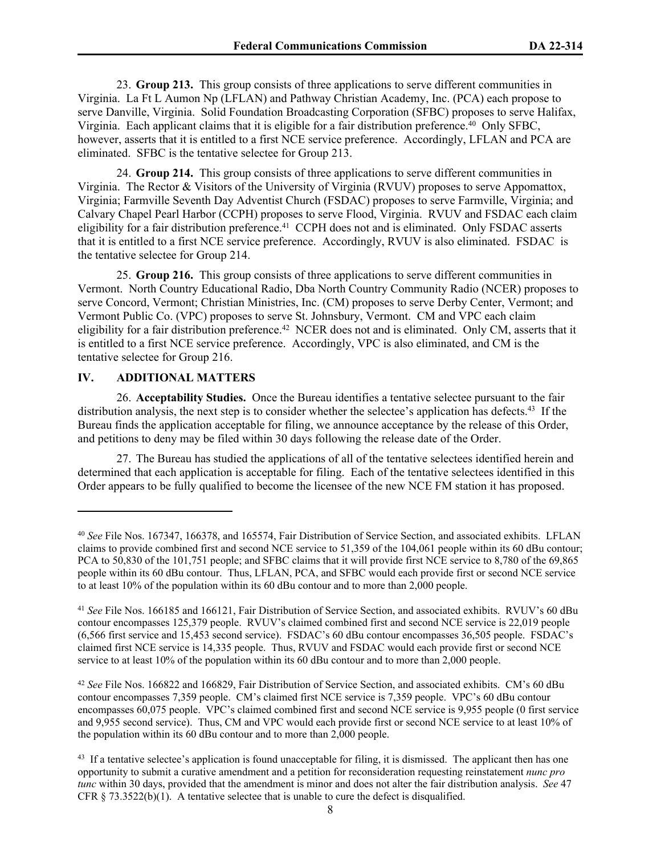23. **Group 213.** This group consists of three applications to serve different communities in Virginia. La Ft L Aumon Np (LFLAN) and Pathway Christian Academy, Inc. (PCA) each propose to serve Danville, Virginia. Solid Foundation Broadcasting Corporation (SFBC) proposes to serve Halifax, Virginia. Each applicant claims that it is eligible for a fair distribution preference.<sup>40</sup> Only SFBC, however, asserts that it is entitled to a first NCE service preference. Accordingly, LFLAN and PCA are eliminated. SFBC is the tentative selectee for Group 213.

24. **Group 214.** This group consists of three applications to serve different communities in Virginia. The Rector & Visitors of the University of Virginia (RVUV) proposes to serve Appomattox, Virginia; Farmville Seventh Day Adventist Church (FSDAC) proposes to serve Farmville, Virginia; and Calvary Chapel Pearl Harbor (CCPH) proposes to serve Flood, Virginia. RVUV and FSDAC each claim eligibility for a fair distribution preference.<sup>41</sup> CCPH does not and is eliminated. Only FSDAC asserts that it is entitled to a first NCE service preference. Accordingly, RVUV is also eliminated. FSDAC is the tentative selectee for Group 214.

25. **Group 216.** This group consists of three applications to serve different communities in Vermont. North Country Educational Radio, Dba North Country Community Radio (NCER) proposes to serve Concord, Vermont; Christian Ministries, Inc. (CM) proposes to serve Derby Center, Vermont; and Vermont Public Co. (VPC) proposes to serve St. Johnsbury, Vermont. CM and VPC each claim eligibility for a fair distribution preference.<sup>42</sup> NCER does not and is eliminated. Only CM, asserts that it is entitled to a first NCE service preference. Accordingly, VPC is also eliminated, and CM is the tentative selectee for Group 216.

## **IV. ADDITIONAL MATTERS**

26. **Acceptability Studies.** Once the Bureau identifies a tentative selectee pursuant to the fair distribution analysis, the next step is to consider whether the selectee's application has defects.<sup>43</sup> If the Bureau finds the application acceptable for filing, we announce acceptance by the release of this Order, and petitions to deny may be filed within 30 days following the release date of the Order.

27. The Bureau has studied the applications of all of the tentative selectees identified herein and determined that each application is acceptable for filing. Each of the tentative selectees identified in this Order appears to be fully qualified to become the licensee of the new NCE FM station it has proposed.

<sup>42</sup> *See* File Nos. 166822 and 166829, Fair Distribution of Service Section, and associated exhibits. CM's 60 dBu contour encompasses 7,359 people. CM's claimed first NCE service is 7,359 people. VPC's 60 dBu contour encompasses 60,075 people. VPC's claimed combined first and second NCE service is 9,955 people (0 first service and 9,955 second service). Thus, CM and VPC would each provide first or second NCE service to at least 10% of the population within its 60 dBu contour and to more than 2,000 people.

<sup>40</sup> *See* File Nos. 167347, 166378, and 165574, Fair Distribution of Service Section, and associated exhibits. LFLAN claims to provide combined first and second NCE service to 51,359 of the 104,061 people within its 60 dBu contour; PCA to 50,830 of the 101,751 people; and SFBC claims that it will provide first NCE service to 8,780 of the 69,865 people within its 60 dBu contour. Thus, LFLAN, PCA, and SFBC would each provide first or second NCE service to at least 10% of the population within its 60 dBu contour and to more than 2,000 people.

<sup>41</sup> *See* File Nos. 166185 and 166121, Fair Distribution of Service Section, and associated exhibits. RVUV's 60 dBu contour encompasses 125,379 people. RVUV's claimed combined first and second NCE service is 22,019 people (6,566 first service and 15,453 second service). FSDAC's 60 dBu contour encompasses 36,505 people. FSDAC's claimed first NCE service is 14,335 people. Thus, RVUV and FSDAC would each provide first or second NCE service to at least 10% of the population within its 60 dBu contour and to more than 2,000 people.

<sup>&</sup>lt;sup>43</sup> If a tentative selectee's application is found unacceptable for filing, it is dismissed. The applicant then has one opportunity to submit a curative amendment and a petition for reconsideration requesting reinstatement *nunc pro tunc* within 30 days, provided that the amendment is minor and does not alter the fair distribution analysis. *See* 47 CFR § 73.3522(b)(1). A tentative selectee that is unable to cure the defect is disqualified.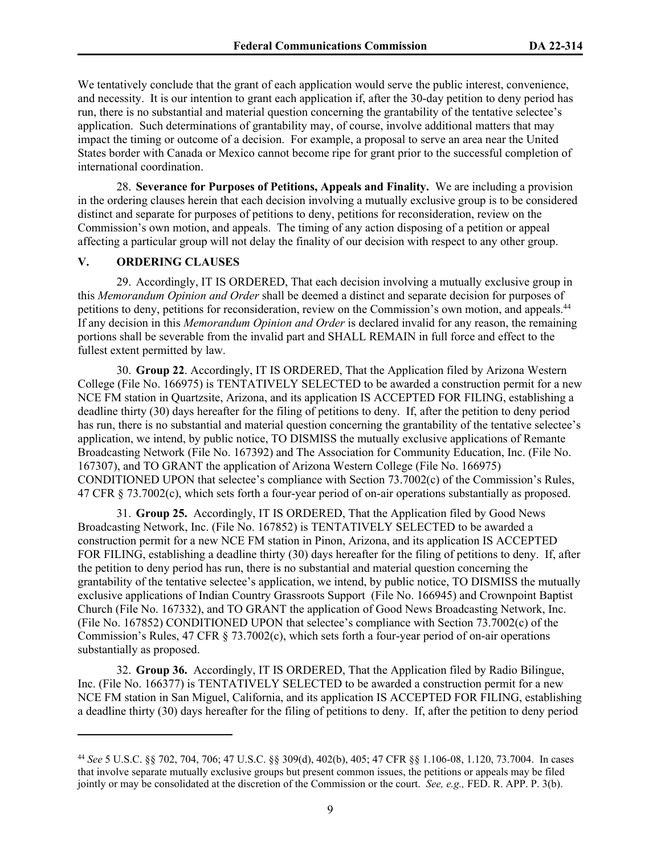We tentatively conclude that the grant of each application would serve the public interest, convenience, and necessity. It is our intention to grant each application if, after the 30-day petition to deny period has run, there is no substantial and material question concerning the grantability of the tentative selectee's application. Such determinations of grantability may, of course, involve additional matters that may impact the timing or outcome of a decision. For example, a proposal to serve an area near the United States border with Canada or Mexico cannot become ripe for grant prior to the successful completion of international coordination.

28. **Severance for Purposes of Petitions, Appeals and Finality.** We are including a provision in the ordering clauses herein that each decision involving a mutually exclusive group is to be considered distinct and separate for purposes of petitions to deny, petitions for reconsideration, review on the Commission's own motion, and appeals. The timing of any action disposing of a petition or appeal affecting a particular group will not delay the finality of our decision with respect to any other group.

## **V. ORDERING CLAUSES**

29. Accordingly, IT IS ORDERED, That each decision involving a mutually exclusive group in this *Memorandum Opinion and Order* shall be deemed a distinct and separate decision for purposes of petitions to deny, petitions for reconsideration, review on the Commission's own motion, and appeals.<sup>44</sup> If any decision in this *Memorandum Opinion and Order* is declared invalid for any reason, the remaining portions shall be severable from the invalid part and SHALL REMAIN in full force and effect to the fullest extent permitted by law.

30. **Group 22**. Accordingly, IT IS ORDERED, That the Application filed by Arizona Western College (File No. 166975) is TENTATIVELY SELECTED to be awarded a construction permit for a new NCE FM station in Quartzsite, Arizona, and its application IS ACCEPTED FOR FILING, establishing a deadline thirty (30) days hereafter for the filing of petitions to deny. If, after the petition to deny period has run, there is no substantial and material question concerning the grantability of the tentative selectee's application, we intend, by public notice, TO DISMISS the mutually exclusive applications of Remante Broadcasting Network (File No. 167392) and The Association for Community Education, Inc. (File No. 167307), and TO GRANT the application of Arizona Western College (File No. 166975) CONDITIONED UPON that selectee's compliance with Section 73.7002(c) of the Commission's Rules, 47 CFR § 73.7002(c), which sets forth a four-year period of on-air operations substantially as proposed.

31. **Group 25.** Accordingly, IT IS ORDERED, That the Application filed by Good News Broadcasting Network, Inc. (File No. 167852) is TENTATIVELY SELECTED to be awarded a construction permit for a new NCE FM station in Pinon, Arizona, and its application IS ACCEPTED FOR FILING, establishing a deadline thirty (30) days hereafter for the filing of petitions to deny. If, after the petition to deny period has run, there is no substantial and material question concerning the grantability of the tentative selectee's application, we intend, by public notice, TO DISMISS the mutually exclusive applications of Indian Country Grassroots Support (File No. 166945) and Crownpoint Baptist Church (File No. 167332), and TO GRANT the application of Good News Broadcasting Network, Inc. (File No. 167852) CONDITIONED UPON that selectee's compliance with Section 73.7002(c) of the Commission's Rules, 47 CFR § 73.7002(c), which sets forth a four-year period of on-air operations substantially as proposed.

32. **Group 36.** Accordingly, IT IS ORDERED, That the Application filed by Radio Bilingue, Inc. (File No. 166377) is TENTATIVELY SELECTED to be awarded a construction permit for a new NCE FM station in San Miguel, California, and its application IS ACCEPTED FOR FILING, establishing a deadline thirty (30) days hereafter for the filing of petitions to deny. If, after the petition to deny period

<sup>44</sup> *See* 5 U.S.C. §§ 702, 704, 706; 47 U.S.C. §§ 309(d), 402(b), 405; 47 CFR §§ 1.106-08, 1.120, 73.7004. In cases that involve separate mutually exclusive groups but present common issues, the petitions or appeals may be filed jointly or may be consolidated at the discretion of the Commission or the court. *See, e.g.,* FED. R. APP. P. 3(b).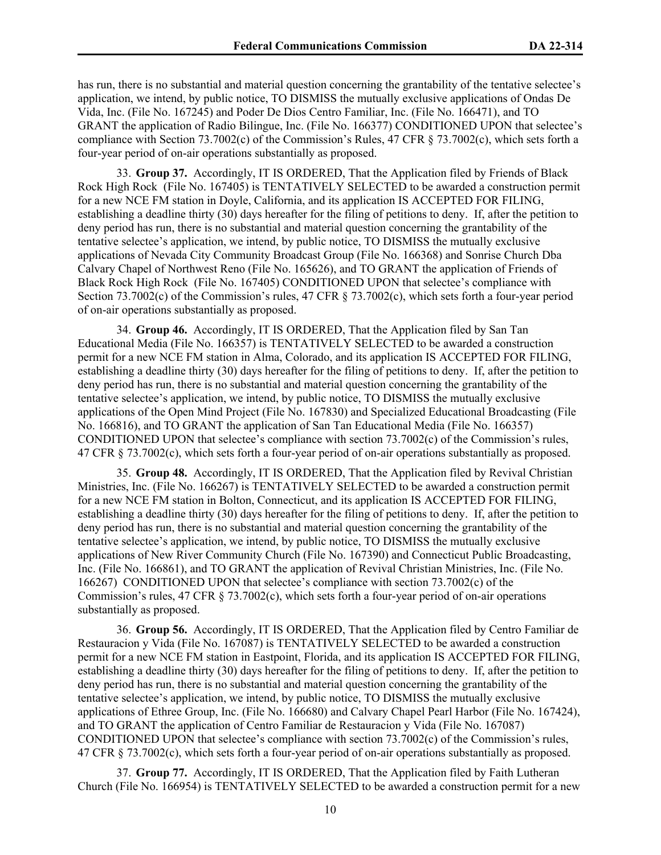has run, there is no substantial and material question concerning the grantability of the tentative selectee's application, we intend, by public notice, TO DISMISS the mutually exclusive applications of Ondas De Vida, Inc. (File No. 167245) and Poder De Dios Centro Familiar, Inc. (File No. 166471), and TO GRANT the application of Radio Bilingue, Inc. (File No. 166377) CONDITIONED UPON that selectee's compliance with Section 73.7002(c) of the Commission's Rules, 47 CFR § 73.7002(c), which sets forth a four-year period of on-air operations substantially as proposed.

33. **Group 37.** Accordingly, IT IS ORDERED, That the Application filed by Friends of Black Rock High Rock (File No. 167405) is TENTATIVELY SELECTED to be awarded a construction permit for a new NCE FM station in Doyle, California, and its application IS ACCEPTED FOR FILING, establishing a deadline thirty (30) days hereafter for the filing of petitions to deny. If, after the petition to deny period has run, there is no substantial and material question concerning the grantability of the tentative selectee's application, we intend, by public notice, TO DISMISS the mutually exclusive applications of Nevada City Community Broadcast Group (File No. 166368) and Sonrise Church Dba Calvary Chapel of Northwest Reno (File No. 165626), and TO GRANT the application of Friends of Black Rock High Rock (File No. 167405) CONDITIONED UPON that selectee's compliance with Section 73.7002(c) of the Commission's rules, 47 CFR § 73.7002(c), which sets forth a four-year period of on-air operations substantially as proposed.

34. **Group 46.** Accordingly, IT IS ORDERED, That the Application filed by San Tan Educational Media (File No. 166357) is TENTATIVELY SELECTED to be awarded a construction permit for a new NCE FM station in Alma, Colorado, and its application IS ACCEPTED FOR FILING, establishing a deadline thirty (30) days hereafter for the filing of petitions to deny. If, after the petition to deny period has run, there is no substantial and material question concerning the grantability of the tentative selectee's application, we intend, by public notice, TO DISMISS the mutually exclusive applications of the Open Mind Project (File No. 167830) and Specialized Educational Broadcasting (File No. 166816), and TO GRANT the application of San Tan Educational Media (File No. 166357) CONDITIONED UPON that selectee's compliance with section  $73.7002(c)$  of the Commission's rules, 47 CFR § 73.7002(c), which sets forth a four-year period of on-air operations substantially as proposed.

35. **Group 48.** Accordingly, IT IS ORDERED, That the Application filed by Revival Christian Ministries, Inc. (File No. 166267) is TENTATIVELY SELECTED to be awarded a construction permit for a new NCE FM station in Bolton, Connecticut, and its application IS ACCEPTED FOR FILING, establishing a deadline thirty (30) days hereafter for the filing of petitions to deny. If, after the petition to deny period has run, there is no substantial and material question concerning the grantability of the tentative selectee's application, we intend, by public notice, TO DISMISS the mutually exclusive applications of New River Community Church (File No. 167390) and Connecticut Public Broadcasting, Inc. (File No. 166861), and TO GRANT the application of Revival Christian Ministries, Inc. (File No. 166267) CONDITIONED UPON that selectee's compliance with section 73.7002(c) of the Commission's rules, 47 CFR § 73.7002(c), which sets forth a four-year period of on-air operations substantially as proposed.

36. **Group 56.** Accordingly, IT IS ORDERED, That the Application filed by Centro Familiar de Restauracion y Vida (File No. 167087) is TENTATIVELY SELECTED to be awarded a construction permit for a new NCE FM station in Eastpoint, Florida, and its application IS ACCEPTED FOR FILING, establishing a deadline thirty (30) days hereafter for the filing of petitions to deny. If, after the petition to deny period has run, there is no substantial and material question concerning the grantability of the tentative selectee's application, we intend, by public notice, TO DISMISS the mutually exclusive applications of Ethree Group, Inc. (File No. 166680) and Calvary Chapel Pearl Harbor (File No. 167424), and TO GRANT the application of Centro Familiar de Restauracion y Vida (File No. 167087) CONDITIONED UPON that selectee's compliance with section 73.7002(c) of the Commission's rules, 47 CFR § 73.7002(c), which sets forth a four-year period of on-air operations substantially as proposed.

37. **Group 77.** Accordingly, IT IS ORDERED, That the Application filed by Faith Lutheran Church (File No. 166954) is TENTATIVELY SELECTED to be awarded a construction permit for a new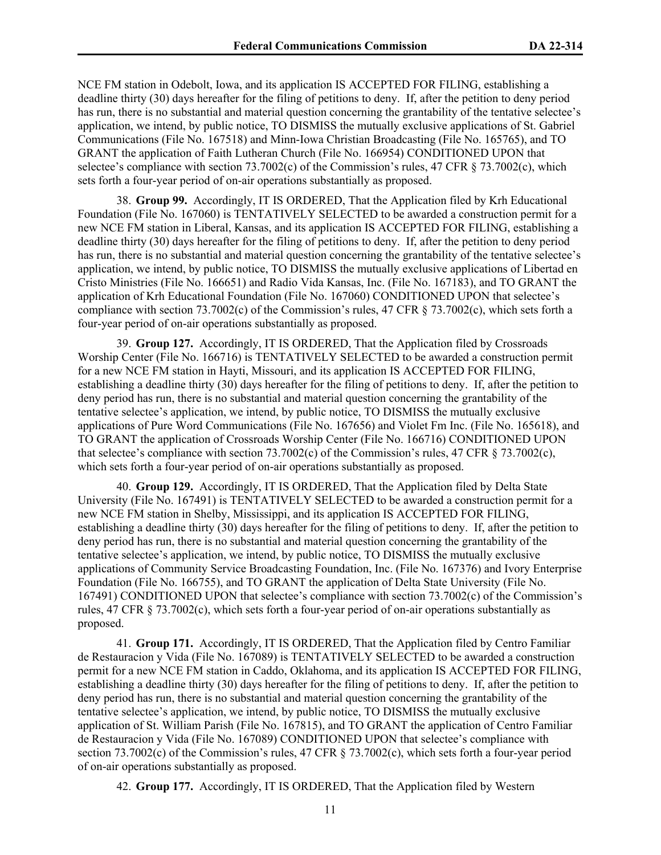NCE FM station in Odebolt, Iowa, and its application IS ACCEPTED FOR FILING, establishing a deadline thirty (30) days hereafter for the filing of petitions to deny. If, after the petition to deny period has run, there is no substantial and material question concerning the grantability of the tentative selectee's application, we intend, by public notice, TO DISMISS the mutually exclusive applications of St. Gabriel Communications (File No. 167518) and Minn-Iowa Christian Broadcasting (File No. 165765), and TO GRANT the application of Faith Lutheran Church (File No. 166954) CONDITIONED UPON that selectee's compliance with section 73.7002(c) of the Commission's rules, 47 CFR § 73.7002(c), which sets forth a four-year period of on-air operations substantially as proposed.

38. **Group 99.** Accordingly, IT IS ORDERED, That the Application filed by Krh Educational Foundation (File No. 167060) is TENTATIVELY SELECTED to be awarded a construction permit for a new NCE FM station in Liberal, Kansas, and its application IS ACCEPTED FOR FILING, establishing a deadline thirty (30) days hereafter for the filing of petitions to deny. If, after the petition to deny period has run, there is no substantial and material question concerning the grantability of the tentative selectee's application, we intend, by public notice, TO DISMISS the mutually exclusive applications of Libertad en Cristo Ministries (File No. 166651) and Radio Vida Kansas, Inc. (File No. 167183), and TO GRANT the application of Krh Educational Foundation (File No. 167060) CONDITIONED UPON that selectee's compliance with section 73.7002(c) of the Commission's rules, 47 CFR § 73.7002(c), which sets forth a four-year period of on-air operations substantially as proposed.

39. **Group 127.** Accordingly, IT IS ORDERED, That the Application filed by Crossroads Worship Center (File No. 166716) is TENTATIVELY SELECTED to be awarded a construction permit for a new NCE FM station in Hayti, Missouri, and its application IS ACCEPTED FOR FILING, establishing a deadline thirty (30) days hereafter for the filing of petitions to deny. If, after the petition to deny period has run, there is no substantial and material question concerning the grantability of the tentative selectee's application, we intend, by public notice, TO DISMISS the mutually exclusive applications of Pure Word Communications (File No. 167656) and Violet Fm Inc. (File No. 165618), and TO GRANT the application of Crossroads Worship Center (File No. 166716) CONDITIONED UPON that selectee's compliance with section 73.7002(c) of the Commission's rules, 47 CFR § 73.7002(c), which sets forth a four-year period of on-air operations substantially as proposed.

40. **Group 129.** Accordingly, IT IS ORDERED, That the Application filed by Delta State University (File No. 167491) is TENTATIVELY SELECTED to be awarded a construction permit for a new NCE FM station in Shelby, Mississippi, and its application IS ACCEPTED FOR FILING, establishing a deadline thirty (30) days hereafter for the filing of petitions to deny. If, after the petition to deny period has run, there is no substantial and material question concerning the grantability of the tentative selectee's application, we intend, by public notice, TO DISMISS the mutually exclusive applications of Community Service Broadcasting Foundation, Inc. (File No. 167376) and Ivory Enterprise Foundation (File No. 166755), and TO GRANT the application of Delta State University (File No. 167491) CONDITIONED UPON that selectee's compliance with section 73.7002(c) of the Commission's rules, 47 CFR § 73.7002(c), which sets forth a four-year period of on-air operations substantially as proposed.

41. **Group 171.** Accordingly, IT IS ORDERED, That the Application filed by Centro Familiar de Restauracion y Vida (File No. 167089) is TENTATIVELY SELECTED to be awarded a construction permit for a new NCE FM station in Caddo, Oklahoma, and its application IS ACCEPTED FOR FILING, establishing a deadline thirty (30) days hereafter for the filing of petitions to deny. If, after the petition to deny period has run, there is no substantial and material question concerning the grantability of the tentative selectee's application, we intend, by public notice, TO DISMISS the mutually exclusive application of St. William Parish (File No. 167815), and TO GRANT the application of Centro Familiar de Restauracion y Vida (File No. 167089) CONDITIONED UPON that selectee's compliance with section 73.7002(c) of the Commission's rules, 47 CFR § 73.7002(c), which sets forth a four-year period of on-air operations substantially as proposed.

42. **Group 177.** Accordingly, IT IS ORDERED, That the Application filed by Western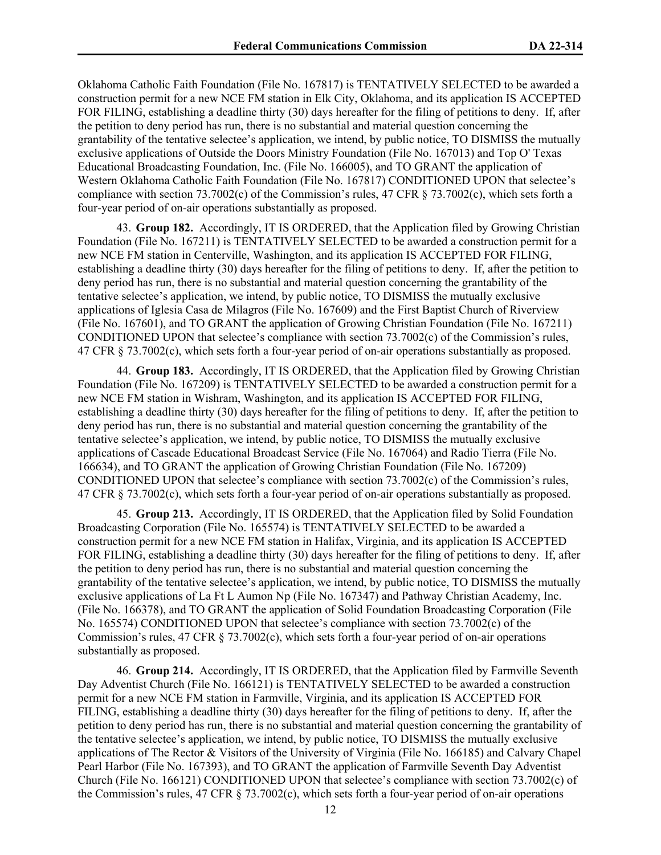Oklahoma Catholic Faith Foundation (File No. 167817) is TENTATIVELY SELECTED to be awarded a construction permit for a new NCE FM station in Elk City, Oklahoma, and its application IS ACCEPTED FOR FILING, establishing a deadline thirty (30) days hereafter for the filing of petitions to deny. If, after the petition to deny period has run, there is no substantial and material question concerning the grantability of the tentative selectee's application, we intend, by public notice, TO DISMISS the mutually exclusive applications of Outside the Doors Ministry Foundation (File No. 167013) and Top O' Texas Educational Broadcasting Foundation, Inc. (File No. 166005), and TO GRANT the application of Western Oklahoma Catholic Faith Foundation (File No. 167817) CONDITIONED UPON that selectee's compliance with section 73.7002(c) of the Commission's rules, 47 CFR § 73.7002(c), which sets forth a four-year period of on-air operations substantially as proposed.

43. **Group 182.** Accordingly, IT IS ORDERED, that the Application filed by Growing Christian Foundation (File No. 167211) is TENTATIVELY SELECTED to be awarded a construction permit for a new NCE FM station in Centerville, Washington, and its application IS ACCEPTED FOR FILING, establishing a deadline thirty (30) days hereafter for the filing of petitions to deny. If, after the petition to deny period has run, there is no substantial and material question concerning the grantability of the tentative selectee's application, we intend, by public notice, TO DISMISS the mutually exclusive applications of Iglesia Casa de Milagros (File No. 167609) and the First Baptist Church of Riverview (File No. 167601), and TO GRANT the application of Growing Christian Foundation (File No. 167211) CONDITIONED UPON that selectee's compliance with section 73.7002(c) of the Commission's rules, 47 CFR § 73.7002(c), which sets forth a four-year period of on-air operations substantially as proposed.

44. **Group 183.** Accordingly, IT IS ORDERED, that the Application filed by Growing Christian Foundation (File No. 167209) is TENTATIVELY SELECTED to be awarded a construction permit for a new NCE FM station in Wishram, Washington, and its application IS ACCEPTED FOR FILING, establishing a deadline thirty (30) days hereafter for the filing of petitions to deny. If, after the petition to deny period has run, there is no substantial and material question concerning the grantability of the tentative selectee's application, we intend, by public notice, TO DISMISS the mutually exclusive applications of Cascade Educational Broadcast Service (File No. 167064) and Radio Tierra (File No. 166634), and TO GRANT the application of Growing Christian Foundation (File No. 167209) CONDITIONED UPON that selectee's compliance with section 73.7002(c) of the Commission's rules, 47 CFR § 73.7002(c), which sets forth a four-year period of on-air operations substantially as proposed.

45. **Group 213.** Accordingly, IT IS ORDERED, that the Application filed by Solid Foundation Broadcasting Corporation (File No. 165574) is TENTATIVELY SELECTED to be awarded a construction permit for a new NCE FM station in Halifax, Virginia, and its application IS ACCEPTED FOR FILING, establishing a deadline thirty (30) days hereafter for the filing of petitions to deny. If, after the petition to deny period has run, there is no substantial and material question concerning the grantability of the tentative selectee's application, we intend, by public notice, TO DISMISS the mutually exclusive applications of La Ft L Aumon Np (File No. 167347) and Pathway Christian Academy, Inc. (File No. 166378), and TO GRANT the application of Solid Foundation Broadcasting Corporation (File No. 165574) CONDITIONED UPON that selectee's compliance with section 73.7002(c) of the Commission's rules, 47 CFR § 73.7002(c), which sets forth a four-year period of on-air operations substantially as proposed.

46. **Group 214.** Accordingly, IT IS ORDERED, that the Application filed by Farmville Seventh Day Adventist Church (File No. 166121) is TENTATIVELY SELECTED to be awarded a construction permit for a new NCE FM station in Farmville, Virginia, and its application IS ACCEPTED FOR FILING, establishing a deadline thirty (30) days hereafter for the filing of petitions to deny. If, after the petition to deny period has run, there is no substantial and material question concerning the grantability of the tentative selectee's application, we intend, by public notice, TO DISMISS the mutually exclusive applications of The Rector & Visitors of the University of Virginia (File No. 166185) and Calvary Chapel Pearl Harbor (File No. 167393), and TO GRANT the application of Farmville Seventh Day Adventist Church (File No. 166121) CONDITIONED UPON that selectee's compliance with section 73.7002(c) of the Commission's rules, 47 CFR § 73.7002(c), which sets forth a four-year period of on-air operations